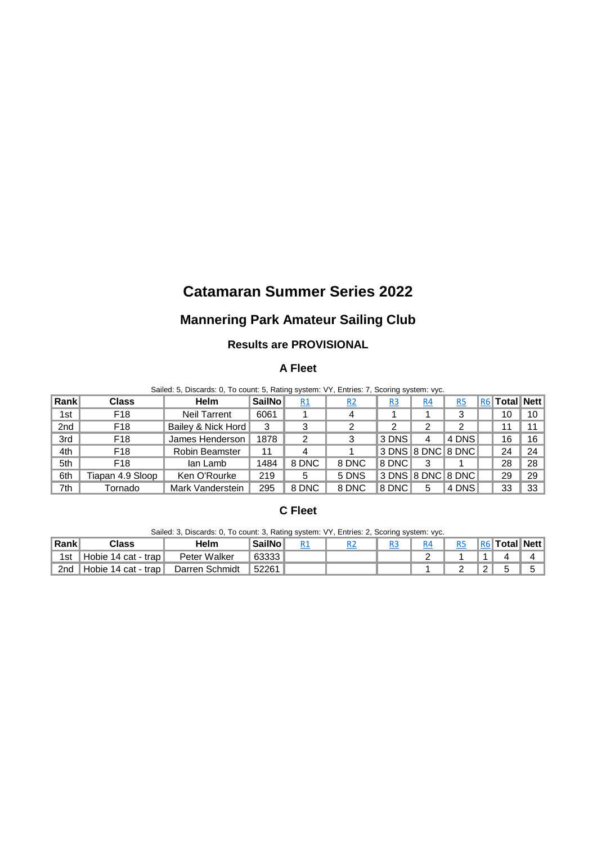# **Catamaran Summer Series 2022**

## **Mannering Park Amateur Sailing Club**

#### **Results are PROVISIONAL**

## **A Fleet**

Sailed: 5, Discards: 0, To count: 5, Rating system: VY, Entries: 7, Scoring system: vyc.

| Rank | Class            | <b>Helm</b>           | <b>SailNo</b> | <u>R1</u> | R <sub>2</sub> | R <sub>3</sub>    | R4 | <u>R5</u> | R6 | Total Nett |                 |
|------|------------------|-----------------------|---------------|-----------|----------------|-------------------|----|-----------|----|------------|-----------------|
| 1st  | F <sub>18</sub>  | <b>Neil Tarrent</b>   | 6061          |           |                |                   |    |           |    | 10         | 10              |
| 2nd  | F <sub>18</sub>  | Bailey & Nick Hord    | 3             | 3         |                |                   |    |           |    |            |                 |
| 3rd  | F <sub>18</sub>  | James Henderson       | 1878          | 2         |                | 3 DNS             |    | 4 DNS     |    | 16         | 16 <sup>1</sup> |
| 4th  | F <sub>18</sub>  | <b>Robin Beamster</b> | 11            |           |                | 3 DNS 8 DNC 8 DNC |    |           |    | 24         | 24              |
| 5th  | F <sub>18</sub>  | lan Lamb              | 1484          | 8 DNC     | 8 DNC          | 8 DNC             |    |           |    | 28         | 28              |
| 6th  | Tiapan 4.9 Sloop | Ken O'Rourke          | 219           | 5         | 5 DNS          |                   |    |           |    | 29         | 29              |
| 7th  | Tornado          | Mark Vanderstein      | 295           | 8 DNC     | 8 DNC          | 8 DNC             |    | 4 DNS     |    | 33         | 33 <sup>1</sup> |

## **C Fleet**

Sailed: 3, Discards: 0, To count: 3, Rating system: VY, Entries: 2, Scoring system: vyc.

| ∣Rank           | $\bigcirc$ lass     | Helm           | <b>SailNo</b> |  |  |  | <b>R6</b> Total Nett |  |
|-----------------|---------------------|----------------|---------------|--|--|--|----------------------|--|
| 1st             | Hobie 14 cat - trap | Peter Walker   | 63333         |  |  |  |                      |  |
| 2 <sub>nd</sub> | Hobie 14 cat - trap | Darren Schmidt | 52261         |  |  |  |                      |  |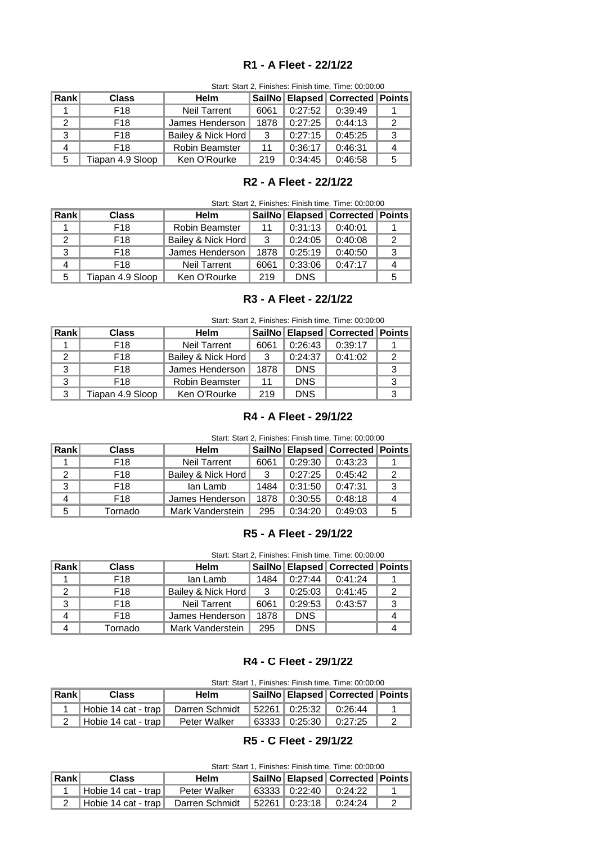#### **R1 - A Fleet - 22/1/22**

|       | Start, Start 2, Finishes. Finish time, Time. 00.00.00 |                       |      |         |                                       |   |  |  |  |
|-------|-------------------------------------------------------|-----------------------|------|---------|---------------------------------------|---|--|--|--|
| Rankl | <b>Class</b>                                          | <b>Helm</b>           |      |         | SailNo   Elapsed   Corrected   Points |   |  |  |  |
|       | F18                                                   | <b>Neil Tarrent</b>   | 6061 | 0:27:52 | 0:39:49                               |   |  |  |  |
| 2     | F18                                                   | James Henderson I     | 1878 | 0:27:25 | 0:44:13                               | 2 |  |  |  |
| 3     | F18                                                   | Bailey & Nick Hord    | 3    | 0:27:15 | 0:45:25                               | 3 |  |  |  |
| 4     | F <sub>18</sub>                                       | <b>Robin Beamster</b> | 11   | 0:36:17 | 0:46:31                               | 4 |  |  |  |
| 5     | Tiapan 4.9 Sloop                                      | Ken O'Rourke          | 219  | 0:34:45 | 0:46:58                               | 5 |  |  |  |

#### Start: Start 2, Finishes: Finish time, Time: 00:00:00

## **R2 - A Fleet - 22/1/22**

| Rankl | Class            | <b>Helm</b>           |      |            | SailNo   Elapsed   Corrected   Points |  |
|-------|------------------|-----------------------|------|------------|---------------------------------------|--|
|       | F <sub>18</sub>  | <b>Robin Beamster</b> |      | 0:31:13    | 0:40:01                               |  |
|       | F <sub>18</sub>  | Bailey & Nick Hord    | 3    | 0:24:05    | 0:40:08                               |  |
| 3     | F <sub>18</sub>  | James Henderson       | 1878 | 0:25:19    | 0:40:50                               |  |
| 4     | F <sub>18</sub>  | Neil Tarrent          | 6061 | 0:33:06    | 0:47:17                               |  |
| 5     | Tiapan 4.9 Sloop | Ken O'Rourke          | 219  | <b>DNS</b> |                                       |  |

#### **R3 - A Fleet - 22/1/22**

| Start: Start 2, Finishes: Finish time, Time: 00:00:00 |  |  |  |  |  |
|-------------------------------------------------------|--|--|--|--|--|
|-------------------------------------------------------|--|--|--|--|--|

| Rank | <b>Class</b>     | Helm                  |      |            | SailNo   Elapsed   Corrected   Points |  |
|------|------------------|-----------------------|------|------------|---------------------------------------|--|
|      | F18              | <b>Neil Tarrent</b>   | 6061 | 0:26:43    | 0:39:17                               |  |
| 2    | F18              | Bailey & Nick Hord    | 3    | 0:24:37    | 0:41:02                               |  |
| 3    | F18              | James Henderson       | 1878 | <b>DNS</b> |                                       |  |
| 3    | F18              | <b>Robin Beamster</b> | 11   | <b>DNS</b> |                                       |  |
|      | Tiapan 4.9 Sloop | Ken O'Rourke          | 219  | <b>DNS</b> |                                       |  |

## **R4 - A Fleet - 29/1/22**

Start: Start 2, Finishes: Finish time, Time: 00:00:00

| <b>Rank</b> | Class   | <b>Helm</b>         |      |         | SailNo   Elapsed   Corrected   Points |  |
|-------------|---------|---------------------|------|---------|---------------------------------------|--|
|             | F18     | <b>Neil Tarrent</b> | 6061 | 0:29:30 | 0:43:23                               |  |
|             | F18     | Bailey & Nick Hord  | - 3  | 0:27:25 | 0:45:42                               |  |
| 3           | F18     | lan Lamb            | 1484 | 0:31:50 | 0:47:31                               |  |
| Δ           | F18     | James Henderson     | 1878 | 0:30:55 | 0:48:18                               |  |
| 5           | Tornado | Mark Vanderstein    | 295  | 0:34:20 | 0:49:03                               |  |

## **R5 - A Fleet - 29/1/22**

Start: Start 2, Finishes: Finish time, Time: 00:00:00

| Rankl | <b>Class</b> | Helm                |      |            | SailNo   Elapsed   Corrected   Points |  |
|-------|--------------|---------------------|------|------------|---------------------------------------|--|
|       | F18          | lan Lamb            | 1484 | 0:27:44    | 0:41:24                               |  |
|       | F18          | Bailey & Nick Hord  | -3   | 0:25:03    | 0:41:45                               |  |
| 3     | F18          | <b>Neil Tarrent</b> | 6061 | 0:29:53    | 0:43:57                               |  |
| 4     | F18          | James Henderson     | 1878 | <b>DNS</b> |                                       |  |
|       | Tornado      | Mark Vanderstein    | 295  | <b>DNS</b> |                                       |  |

#### **R4 - C Fleet - 29/1/22**

Start: Start 1, Finishes: Finish time, Time: 00:00:00

| $\ $ Rank $\ $ | Class                                                            | Helm         |  | SailNo   Elapsed   Corrected   Points     |  |
|----------------|------------------------------------------------------------------|--------------|--|-------------------------------------------|--|
|                | Hobie 14 cat - trap   Darren Schmidt   52261   0:25:32   0:26:44 |              |  |                                           |  |
|                | <b>I Hobie 14 cat - trap</b> I                                   | Peter Walker |  | $\vert 63333 \vert 0:25:30 \vert 0:27:25$ |  |

## **R5 - C Fleet - 29/1/22**

| Start: Start 1, Finishes: Finish time, Time: 00:00:00 |  |  |  |  |
|-------------------------------------------------------|--|--|--|--|
|-------------------------------------------------------|--|--|--|--|

| <b>Rank</b> | Class                                                                | Helm         |  | SailNo   Elapsed   Corrected   Points                     |  |
|-------------|----------------------------------------------------------------------|--------------|--|-----------------------------------------------------------|--|
|             | ■ Hobie 14 cat - trap I                                              | Peter Walker |  | $\parallel$ 63333 $\parallel$ 0:22:40 $\parallel$ 0:24:22 |  |
|             | 2   Hobie 14 cat - trap   Darren Schmidt   52261   0:23:18   0:24:24 |              |  |                                                           |  |